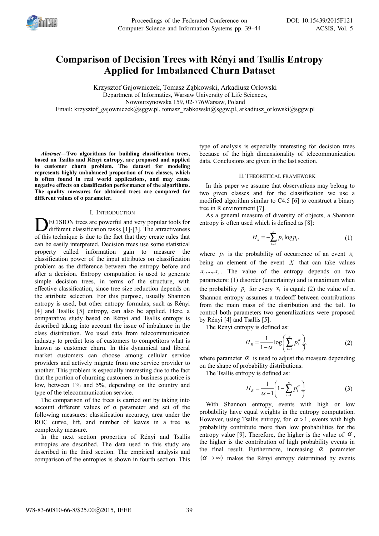

# **Comparison of Decision Trees with Rényi and Tsallis Entropy Applied for Imbalanced Churn Dataset**

Krzysztof Gajowniczek, Tomasz Ząbkowski, Arkadiusz Orłowski Department of Informatics, Warsaw University of Life Sciences, Nowoursynowska 159, 02-776Warsaw, Poland

Email: krzysztof\_gajowniczek@sggw.pl, tomasz\_zabkowski@sggw.pl, arkadiusz\_orlowski@sggw.pl

*Abstract—***Two algorithms for building classification trees, based on Tsallis and Rényi entropy, are proposed and applied to customer churn problem. The dataset for modeling represents highly unbalanced proportion of two classes, which is often found in real world applications, and may cause negative effects on classification performance of the algorithms. The quality measures for obtained trees are compared for different values of α parameter.**

# I. INTRODUCTION

ECISION trees are powerful and very popular tools for  $\sum$  ECISION trees are powerful and very popular tools for different classification tasks [1]-[3]. The attractiveness of this technique is due to the fact that they create rules that can be easily interpreted. Decision trees use some statistical property called information gain to measure the classification power of the input attributes on classification problem as the difference between the entropy before and after a decision. Entropy computation is used to generate simple decision trees, in terms of the structure, with effective classification, since tree size reduction depends on the attribute selection. For this purpose, usually Shannon entropy is used, but other entropy formulas, such as Rényi [4] and Tsallis [5] entropy, can also be applied. Here, a comparative study based on Rényi and Tsallis entropy is described taking into account the issue of imbalance in the class distribution. We used data from telecommunication industry to predict loss of customers to competitors what is known as customer churn. In this dynamical and liberal market customers can choose among cellular service providers and actively migrate from one service provider to another. This problem is especially interesting due to the fact that the portion of churning customers in business practice is low, between 1% and 5%, depending on the country and type of the telecommunication service.

The comparison of the trees is carried out by taking into account different values of α parameter and set of the following measures: classification accuracy, area under the ROC curve, lift, and number of leaves in a tree as complexity measure.

In the next section properties of Rényi and Tsallis entropies are described. The data used in this study are described in the third section. The empirical analysis and comparison of the entropies is shown in fourth section. This type of analysis is especially interesting for decision trees because of the high dimensionality of telecommunication data. Conclusions are given in the last section.

# II.THEORETICAL FRAMEWORK

In this paper we assume that observations may belong to two given classes and for the classification we use a modified algorithm similar to C4.5 [6] to construct a binary tree in R environment [7].

As a general measure of diversity of objects, a Shannon entropy is often used which is defined as [8]:

$$
H_s = -\sum_{i=1}^n p_i \log p_i, \qquad (1)
$$

where  $p_i$  is the probability of occurrence of an event  $x_i$ being an element of the event  $X$  that can take values  $x_i, \ldots, x_n$ . The value of the entropy depends on two parameters: (1) disorder (uncertainty) and is maximum when the probability  $p_i$  for every  $x_i$  is equal; (2) the value of n. Shannon entropy assumes a tradeoff between contributions from the main mass of the distribution and the tail. To control both parameters two generalizations were proposed by Rényi [4] and Tsallis [5].

The Rényi entropy is defined as:

$$
H_R = \frac{1}{1 - \alpha} \log \left( \sum_{i=1}^n p_i^{\alpha} \right) \tag{2}
$$

where parameter  $\alpha$  is used to adjust the measure depending on the shape of probability distributions.

The Tsallis entropy is defined as:

$$
H_R = \frac{1}{\alpha - 1} \left( 1 - \sum_{i=1}^n p_i^{\alpha} \right) \tag{3}
$$

With Shannon entropy, events with high or low probability have equal weights in the entropy computation. However, using Tsallis entropy, for  $\alpha > 1$ , events with high probability contribute more than low probabilities for the entropy value [9]. Therefore, the higher is the value of  $\alpha$ , the higher is the contribution of high probability events in the final result. Furthermore, increasing  $\alpha$  parameter  $(\alpha \rightarrow \infty)$  makes the Rényi entropy determined by events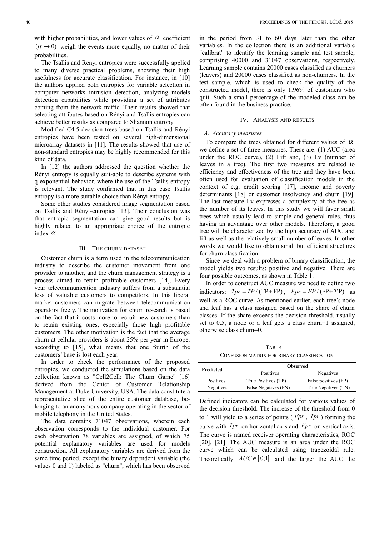with higher probabilities, and lower values of  $\alpha$  coefficient  $(\alpha \rightarrow 0)$  weigh the events more equally, no matter of their probabilities.

The Tsallis and Rényi entropies were successfully applied to many diverse practical problems, showing their high usefulness for accurate classification. For instance, in [10] the authors applied both entropies for variable selection in computer networks intrusion detection, analyzing models detection capabilities while providing a set of attributes coming from the network traffic. Their results showed that selecting attributes based on Rényi and Tsallis entropies can achieve better results as compared to Shannon entropy.

Modified C4.5 decision trees based on Tsallis and Rényi entropies have been tested on several high-dimensional microarray datasets in [11]. The results showed that use of non-standard entropies may be highly recommended for this kind of data.

In [12] the authors addressed the question whether the Rényi entropy is equally suit-able to describe systems with q-exponential behavior, where the use of the Tsallis entropy is relevant. The study confirmed that in this case Tsallis entropy is a more suitable choice than Rényi entropy.

Some other studies considered image segmentation based on Tsallis and Rényi-entropies [13]. Their conclusion was that entropic segmentation can give good results but is highly related to an appropriate choice of the entropic index  $\alpha$ .

# III. THE CHURN DATASET

Customer churn is a term used in the telecommunication industry to describe the customer movement from one provider to another, and the churn management strategy is a process aimed to retain profitable customers [14]. Every year telecommunication industry suffers from a substantial loss of valuable customers to competitors. In this liberal market customers can migrate between telecommunication operators freely. The motivation for churn research is based on the fact that it costs more to recruit new customers than to retain existing ones, especially those high profitable customers. The other motivation is the fact that the average churn at cellular providers is about 25% per year in Europe, according to [15], what means that one fourth of the customers' base is lost each year.

In order to check the performance of the proposed entropies, we conducted the simulations based on the data collection known as "Cell2Cell: The Churn Game" [16] derived from the Center of Customer Relationship Management at Duke University, USA. The data constitute a representative slice of the entire customer database, belonging to an anonymous company operating in the sector of mobile telephony in the United States.

The data contains 71047 observations, wherein each observation corresponds to the individual customer. For each observation 78 variables are assigned, of which 75 potential explanatory variables are used for models construction. All explanatory variables are derived from the same time period, except the binary dependent variable (the values 0 and 1) labeled as "churn", which has been observed

in the period from 31 to 60 days later than the other variables. In the collection there is an additional variable "calibrat" to identify the learning sample and test sample, comprising 40000 and 31047 observations, respectively. Learning sample contains 20000 cases classified as churners (leavers) and 20000 cases classified as non-churners. In the test sample, which is used to check the quality of the constructed model, there is only 1.96% of customers who quit. Such a small percentage of the modeled class can be often found in the business practice.

#### IV. ANALYSIS AND RESULTS

#### *A. Accuracy measures*

To compare the trees obtained for different values of  $\alpha$ we define a set of three measures. These are: (1) AUC (area under the ROC curve), (2) Lift and, (3) Lv (number of leaves in a tree). The first two measures are related to efficiency and effectiveness of the tree and they have been often used for evaluation of classification models in the context of e.g. credit scoring [17], income and poverty determinants [18] or customer insolvency and churn [19]. The last measure Lv expresses a complexity of the tree as the number of its leaves. In this study we will favor small trees which usually lead to simple and general rules, thus having an advantage over other models. Therefore, a good tree will be characterized by the high accuracy of AUC and lift as well as the relatively small number of leaves. In other words we would like to obtain small but efficient structures for churn classification.

Since we deal with a problem of binary classification, the model yields two results: positive and negative. There are four possible outcomes, as shown in Table 1.

In order to construct AUC measure we need to define two indicators:  $Tpr = TP / (TP + FP)$ ,  $Fpr = FP / (FP + TP)$  as well as a ROC curve. As mentioned earlier, each tree's node and leaf has a class assigned based on the share of churn classes. If the share exceeds the decision threshold, usually set to 0.5, a node or a leaf gets a class churn=1 assigned, otherwise class churn=0.

TABLE 1. CONFUSION MATRIX FOR BINARY CLASSIFICATION

| Predicted | <b>Observed</b>      |                      |  |  |  |
|-----------|----------------------|----------------------|--|--|--|
|           | Positives            | Negatives            |  |  |  |
| Positives | True Positives (TP)  | False positives (FP) |  |  |  |
| Negatives | False Negatives (FN) | True Negatives (TN)  |  |  |  |

Defined indicators can be calculated for various values of the decision threshold. The increase of the threshold from 0 to 1 will yield to a series of points ( *Fpr* , *Tpr* ) forming the curve with *Tpr* on horizontal axis and *Fpr* on vertical axis. The curve is named receiver operating characteristics, ROC [20], [21]. The AUC measure is an area under the ROC curve which can be calculated using trapezoidal rule. Theoretically  $AUC \in [0,1]$  and the larger the AUC the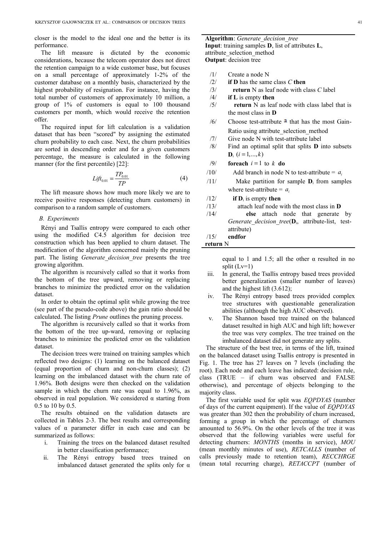closer is the model to the ideal one and the better is its performance.

The lift measure is dictated by the economic considerations, because the telecom operator does not direct the retention campaign to a wide customer base, but focuses on a small percentage of approximately 1-2% of the customer database on a monthly basis, characterized by the highest probability of resignation. For instance, having the total number of customers of approximately 10 million, a group of 1% of customers is equal to 100 thousand customers per month, which would receive the retention offer.

The required input for lift calculation is a validation dataset that has been "scored" by assigning the estimated churn probability to each case. Next, the churn probabilities are sorted in descending order and for a given customers percentage, the measure is calculated in the following manner (for the first percentile) [22]:

$$
Lift_{0.01} = \frac{TP_{0.01}}{TP}
$$
 (4)

The lift measure shows how much more likely we are to receive positive responses (detecting churn customers) in comparison to a random sample of customers.

### *B. Experiments*

Rényi and Tsallis entropy were compared to each other using the modified C4.5 algorithm for decision tree construction which has been applied to churn dataset. The modification of the algorithm concerned mainly the pruning part. The listing *Generate\_decision\_tree* presents the tree growing algorithm.

The algorithm is recursively called so that it works from the bottom of the tree upward, removing or replacing branches to minimize the predicted error on the validation dataset.

In order to obtain the optimal split while growing the tree (see part of the pseudo-code above) the gain ratio should be calculated. The listing *Prune* outlines the pruning process.

The algorithm is recursively called so that it works from the bottom of the tree up-ward, removing or replacing branches to minimize the predicted error on the validation dataset.

The decision trees were trained on training samples which reflected two designs: (1) learning on the balanced dataset (equal proportion of churn and non-churn classes); (2) learning on the imbalanced dataset with the churn rate of 1.96%. Both designs were then checked on the validation sample in which the churn rate was equal to 1.96%, as observed in real population. We considered α starting from 0.5 to 10 by 0.5.

The results obtained on the validation datasets are collected in Tables 2-3. The best results and corresponding values of α parameter differ in each case and can be summarized as follows:

- i. Training the trees on the balanced dataset resulted in better classification performance;
- ii. The Rényi entropy based trees trained on imbalanced dataset generated the splits only for  $\alpha$

**Algorithm**: *Generate\_decision\_tree* **Input**: training samples **D**, list of attributes **L**, attribute\_selection\_method **Output**: decision tree

- /1/ Create a node N
- /2/ **if D** has the same class *C* **then**
- /3/ **return** N as leaf node with class *C* label
- /4/ **if L** is empty **then**
- /5/ **return** N as leaf node with class label that is the most class in **D**
- $/6/$  Choose test-attribute  $\overline{a}$  that has the most Gain-Ratio using attribute\_selection\_method
- /7/ Give node N with test-attribute label
- /8/ Find an optimal split that splits **D** into subsets  ${\bf D}_i$  (*i* = 1,...,*k*)
- $/9$  **foreach**  $i = 1$  to  $k$  **do**
- /10/ Add branch in node N to test-attribute =  $a_i$
- /11/ Make partition for sample **D**i from samples where test-attribute =  $a_i$
- /12/ **if D**i is empty **then**
- /13/ attach leaf node with the most class in **D** /14/ **else** attach node that generate by *Generate\_decision\_tree*(**D**i, attribute-list, test-
- attribute) /15/ **endfor**
- **return** N

equal to 1 and 1.5; all the other  $\alpha$  resulted in no split (Lv=1)

- iii. In general, the Tsallis entropy based trees provided better generalization (smaller number of leaves) and the highest lift (3.612);
- iv. The Rényi entropy based trees provided complex tree structures with questionable generalization abilities (although the high AUC observed).
- v. The Shannon based tree trained on the balanced dataset resulted in high AUC and high lift; however the tree was very complex. The tree trained on the imbalanced dataset did not generate any splits.

The structure of the best tree, in terms of the lift, trained on the balanced dataset using Tsallis entropy is presented in Fig. 1. The tree has 27 leaves on 7 levels (including the root). Each node and each leave has indicated: decision rule, class (TRUE – if churn was observed and FALSE otherwise), and percentage of objects belonging to the majority class.

The first variable used for split was *EQPDYAS* (number of days of the current equipment). If the value of *EQPDYAS* was greater than 302 then the probability of churn increased, forming a group in which the percentage of churners amounted to 56.9%. On the other levels of the tree it was observed that the following variables were useful for detecting churners: *MONTHS* (months in service), *MOU* (mean monthly minutes of use), *RETCALLS* (number of calls previously made to retention team), *RECCHRGE* (mean total recurring charge), *RETACCPT* (number of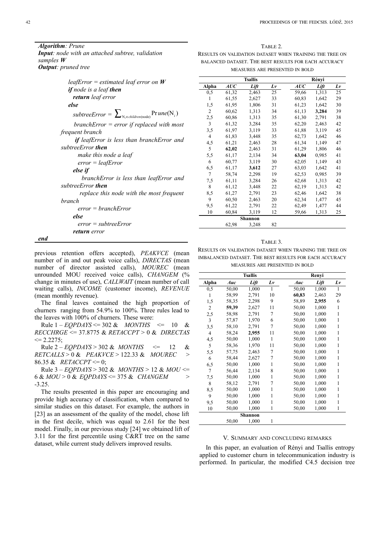*Algorithm: Prune Input: node with an attached subtree, validation samples W Output: pruned tree*

| leafError = estimated leaf error on $W$                       |
|---------------------------------------------------------------|
| <b>if</b> node is a leaf <b>then</b>                          |
| <b>return</b> leaf error                                      |
| else                                                          |
| subtreeError = $\sum_{N_i \in children(node)} Pr$ une $(N_i)$ |
| $branchError = error$ if replaced with most                   |
| frequent branch                                               |
| <b>if</b> leafError is less than branchError and              |
| subtreeError <b>then</b>                                      |
| make this node a leaf                                         |
| $error = leafError$                                           |
| else if                                                       |
| branchError is less than leafError and                        |
| subtreeError <b>then</b>                                      |
| replace this node with the most frequent                      |
| hranch                                                        |
| $error = branchError$                                         |
| else                                                          |
| $error = subtreeError$                                        |
| return error                                                  |

*end*

previous retention offers accepted), *PEAKVCE* (mean number of in and out peak voice calls), *DIRECTAS* (mean number of director assisted calls), *MOUREC* (mean unrounded MOU received voice calls), *CHANGEM* (% change in minutes of use), *CALLWAIT* (mean number of call waiting calls), *INCOME* (customer income), *REVENUE* (mean monthly revenue).

The final leaves contained the high proportion of churners ranging from 54.9% to 100%. Three rules lead to the leaves with 100% of churners. These were:

Rule  $1 - EOPDAYS \le 302 \& MONTHS \le 10 \&$ *RECCHRGE* <= 37.8775 & *RETACCPT* > 0 & *DIRECTAS*  $\leq$  2.2275;

Rule  $2 - EQPDAYS > 302$  & *MONTHS*  $\leq 12$  & *RETCALLS* > 0 & *PEAKVCE* > 122.33 & *MOUREC* > 86.35 & *RETACCPT* <= 0;

Rule 3 – *EQPDAYS* > 302 & *MONTHS* > 12 & *MOU* <= 6 & *MOU* > 0 & *EQPDAYS* <= 375 & *CHANGEM* > -3.25.

The results presented in this paper are encouraging and provide high accuracy of classification, when compared to similar studies on this dataset. For example, the authors in [23] as an assessment of the quality of the model, chose lift in the first decile, which was equal to 2.61 for the best model. Finally, in our previous study [24] we obtained lift of 3.11 for the first percentile using C&RT tree on the same dataset, while current study delivers improved results.

TABLE 2. RESULTS ON VALIDATION DATASET WHEN TRAINING THE TREE ON BALANCED DATASET. THE BEST RESULTS FOR EACH ACCURACY MEASURES ARE PRESENTED IN BOLD

| <b>Tsallis</b> |       |                |    | Rényi |       |    |  |
|----------------|-------|----------------|----|-------|-------|----|--|
| Alpha          | AUC   | Lift           | Lv | AUC   | Lift  | Lv |  |
| 0,5            | 61,32 | 2,463          | 25 | 59,66 | 1,313 | 25 |  |
| 1              | 61,55 | 2,627          | 33 | 60,83 | 1,642 | 29 |  |
| 1,5            | 61,95 | 1,806          | 31 | 61,23 | 1,642 | 30 |  |
| 2              | 60,62 | 1,313          | 34 | 61,13 | 3,284 | 39 |  |
| 2,5            | 60,86 | 1,313          | 35 | 61,30 | 2,791 | 38 |  |
| 3              | 61,32 | 3,284          | 35 | 62,20 | 2,463 | 42 |  |
| 3,5            | 61,97 | 3,119          | 33 | 61,88 | 3,119 | 45 |  |
| 4              | 61,83 | 3,448          | 35 | 62,73 | 1,642 | 46 |  |
| 4,5            | 61,21 | 2,463          | 28 | 61,34 | 1,149 | 47 |  |
| 5              | 62,02 | 2,463          | 31 | 61,29 | 1,806 | 46 |  |
| 5,5            | 61,17 | 2,134          | 34 | 63,04 | 0,985 | 41 |  |
| 6              | 60,77 | 3,119          | 30 | 62,05 | 1,149 | 43 |  |
| 6,5            | 61,17 | 3,612          | 27 | 63,03 | 1,642 | 41 |  |
| 7              | 58,74 | 2,298          | 19 | 62,53 | 0,985 | 39 |  |
| 7,5            | 61,11 | 3,284          | 26 | 62,68 | 1,313 | 42 |  |
| 8              | 61,12 | 3,448          | 22 | 62,19 | 1,313 | 42 |  |
| 8,5            | 61,27 | 2,791          | 23 | 62,46 | 1,642 | 38 |  |
| 9              | 60,50 | 2,463          | 20 | 62,34 | 1,477 | 45 |  |
| 9,5            | 61,22 | 2,791          | 22 | 62,49 | 1,477 | 44 |  |
| 10             | 60,84 | 3,119          | 12 | 59,66 | 1,313 | 25 |  |
|                |       | <b>Shannon</b> |    |       |       |    |  |
|                | 62,98 | 3,248          | 82 |       |       |    |  |

#### TABLE 3.

RESULTS ON VALIDATION DATASET WHEN TRAINING THE TREE ON IMBALANCED DATASET. THE BEST RESULTS FOR EACH ACCURACY MEASURES ARE PRESENTED IN BOLD

| <b>Tsallis</b> |       |         |    | Renyi |       |    |
|----------------|-------|---------|----|-------|-------|----|
| Alpha          | Auc   | Lift    | Lv | Auc   | Lift  | Lv |
| 0,5            | 50,00 | 1,000   | 1  | 50,00 | 1,000 | 1  |
| 1              | 58,99 | 2,791   | 10 | 60,83 | 2,463 | 29 |
| 1,5            | 58,35 | 2,298   | 9  | 58,89 | 2,955 | 6  |
| $\overline{2}$ | 59,39 | 2,627   | 11 | 50,00 | 1,000 | 1  |
| 2,5            | 58,98 | 2,791   | 7  | 50,00 | 1,000 | 1  |
| 3              | 57,87 | 1,970   | 6  | 50,00 | 1,000 | 1  |
| 3,5            | 58,10 | 2,791   | 7  | 50,00 | 1,000 | 1  |
| 4              | 58,24 | 2,955   | 11 | 50,00 | 1,000 | 1  |
| 4,5            | 50,00 | 1,000   | 1  | 50,00 | 1,000 | 1  |
| 5              | 58,36 | 1,970   | 11 | 50,00 | 1,000 | 1  |
| 5,5            | 57,75 | 2,463   | 7  | 50,00 | 1,000 | 1  |
| 6              | 58,44 | 2,627   | 7  | 50,00 | 1,000 | 1  |
| 6,5            | 50,00 | 1,000   | 1  | 50,00 | 1,000 | 1  |
| 7              | 56,44 | 2,134   | 8  | 50,00 | 1,000 | 1  |
| 7,5            | 50,00 | 1,000   | 1  | 50,00 | 1,000 | 1  |
| 8              | 58,12 | 2,791   | 7  | 50,00 | 1,000 | 1  |
| 8,5            | 50,00 | 1,000   | 1  | 50,00 | 1,000 | 1  |
| 9              | 50,00 | 1,000   | 1  | 50,00 | 1,000 | 1  |
| 9,5            | 50,00 | 1,000   | 1  | 50,00 | 1,000 | 1  |
| 10             | 50,00 | 1,000   | 1  | 50,00 | 1,000 | 1  |
|                |       | Shannon |    |       |       |    |
|                | 50,00 | 1,000   | 1  |       |       |    |

#### V. SUMMARY AND CONCLUDING REMARKS

In this paper, an evaluation of Rényi and Tsallis entropy applied to customer churn in telecommunication industry is performed. In particular, the modified C4.5 decision tree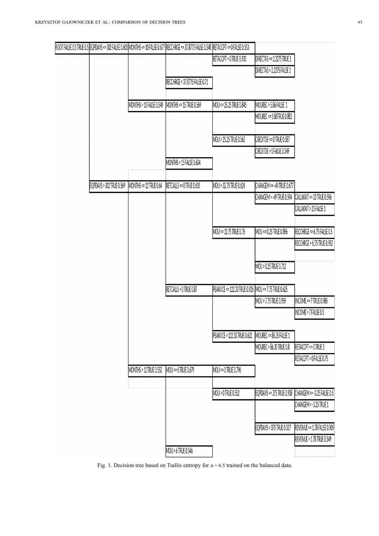|                          |                         | ROOT FALSE 0.5 TRUE 0.5  EQPDAYS <= 302 FALSE 0.603  MONTHS <= 10 FALSE 0.677  RECCHRGE <= 37.8775 FALSE 0.548  RETACCPT <= 0 FALSE 0.553 |                                                     |                            |                             |
|--------------------------|-------------------------|-------------------------------------------------------------------------------------------------------------------------------------------|-----------------------------------------------------|----------------------------|-----------------------------|
|                          |                         |                                                                                                                                           | <b>IRETACCPT &gt; 0 TRUE 0.933</b>                  | DIRECTAS <= 2.2275 TRUE 1  |                             |
|                          |                         |                                                                                                                                           |                                                     | DIRECTAS > 2.2275 FALSE 1  |                             |
|                          |                         | RECCHRGE > 37.8775 FALSE 0.71                                                                                                             |                                                     |                            |                             |
|                          |                         |                                                                                                                                           |                                                     |                            |                             |
|                          | MONTHS > 10 FALSE 0.549 | $MONTHS \leq 15$ TRUE 0.569                                                                                                               | MOU <= 25.25 TRUE 0.845                             | MOUREC > 5.86 FALSE 1      |                             |
|                          |                         |                                                                                                                                           |                                                     | MOUREC <= 5.86TRUE 0.882   |                             |
|                          |                         |                                                                                                                                           |                                                     |                            |                             |
|                          |                         |                                                                                                                                           | MOU > 25.25 TRUE 0.562                              | CREDITDE <= 0 TRUE 0.587   |                             |
|                          |                         | MONTHS > 15 FALSE 0.604                                                                                                                   |                                                     | CREDITDE > 0 FALSE 0.549   |                             |
|                          |                         |                                                                                                                                           |                                                     |                            |                             |
| EQPDAYS > 302 TRUE 0.569 | MONTHS <= 12 TRUE 0.64  | RETCALLS <= 0 TRUE 0.635                                                                                                                  | MOU > 32.75 TRUE 0.624                              | CHANGEM <= - 49 TRUE 0.677 |                             |
|                          |                         |                                                                                                                                           |                                                     | CHANGEM > -49 TRUE 0.594   | CALLWAIT <= 23 TRUE 0.596   |
|                          |                         |                                                                                                                                           |                                                     |                            | CALLWAIT > 23 FALSE 1       |
|                          |                         |                                                                                                                                           |                                                     |                            |                             |
|                          |                         |                                                                                                                                           | MOU <= 32.75 TRUE 0.76                              | MOU <= 0.25 TRUE 0.896     | RECCHRGE <= 6.75 FALSE 0.5  |
|                          |                         |                                                                                                                                           |                                                     |                            | RECCHRGE > 6.75 TRUE 0.952  |
|                          |                         |                                                                                                                                           |                                                     |                            |                             |
|                          |                         |                                                                                                                                           |                                                     | MOU > 0.25 TRUE 0.712      |                             |
|                          |                         | RETCALLS > 0 TRUE 0.87                                                                                                                    | PEAKVCE <= 122.33 TRUE 0.926 MOU <= 7.75 TRUE 0.625 |                            |                             |
|                          |                         |                                                                                                                                           |                                                     | MOU > 7.75 TRUE 0.959      | INCOME <= 7 TRUE 0.986      |
|                          |                         |                                                                                                                                           |                                                     |                            | INCOME > 7 FALSE 0.5        |
|                          |                         |                                                                                                                                           |                                                     |                            |                             |
|                          |                         |                                                                                                                                           | PEAKVCE > 122.33 TRUE 0.632                         | MOUREC <= 86.35 FALSE 1    |                             |
|                          |                         |                                                                                                                                           |                                                     | MOUREC > 86.35 TRUE 0.8    | RETACCPT <= 0 TRUE 1        |
|                          |                         |                                                                                                                                           |                                                     |                            | RETACCPT > 0 FALSE 0.75     |
|                          | MONTHS > 12 TRUE 0.552  | MOU <= 6 TRUE 0.679                                                                                                                       | MOU <= 0 TRUE 0.796                                 |                            |                             |
|                          |                         |                                                                                                                                           |                                                     |                            |                             |
|                          |                         |                                                                                                                                           | MOU > 0 TRUE 0.552                                  | EQPDAYS <= 375 TRUE 0.938  | CHANGEM <= - 3.25 FALSE 0.5 |
|                          |                         |                                                                                                                                           |                                                     |                            | CHANGEM > -3.25 TRUE 1      |
|                          |                         |                                                                                                                                           |                                                     | EQPDAYS > 375 TRUE 0.537   | REVENUE <= 1.78 FALSE 0.909 |
|                          |                         |                                                                                                                                           |                                                     |                            | REVENUE > 1.78 TRUE 0.549   |
|                          |                         | MOU > 6 TRUE 0.546                                                                                                                        |                                                     |                            |                             |
|                          |                         |                                                                                                                                           |                                                     |                            |                             |

Fig. 1. Decision tree based on Tsallis entropy for  $\alpha = 6.5$  trained on the balanced data.